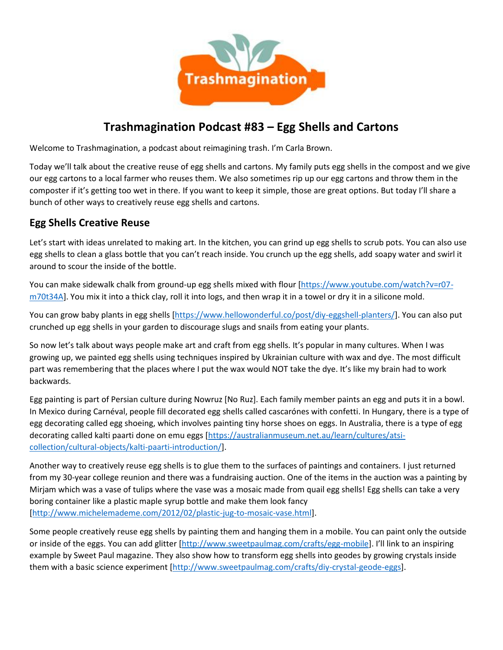

# **Trashmagination Podcast #83 – Egg Shells and Cartons**

Welcome to Trashmagination, a podcast about reimagining trash. I'm Carla Brown.

Today we'll talk about the creative reuse of egg shells and cartons. My family puts egg shells in the compost and we give our egg cartons to a local farmer who reuses them. We also sometimes rip up our egg cartons and throw them in the composter if it's getting too wet in there. If you want to keep it simple, those are great options. But today I'll share a bunch of other ways to creatively reuse egg shells and cartons.

#### **Egg Shells Creative Reuse**

Let's start with ideas unrelated to making art. In the kitchen, you can grind up egg shells to scrub pots. You can also use egg shells to clean a glass bottle that you can't reach inside. You crunch up the egg shells, add soapy water and swirl it around to scour the inside of the bottle.

You can make sidewalk chalk from ground-up egg shells mixed with flour [https://www.youtube.com/watch?v=r07 m70t34A]. You mix it into a thick clay, roll it into logs, and then wrap it in a towel or dry it in a silicone mold.

You can grow baby plants in egg shells [https://www.hellowonderful.co/post/diy-eggshell-planters/]. You can also put crunched up egg shells in your garden to discourage slugs and snails from eating your plants.

So now let's talk about ways people make art and craft from egg shells. It's popular in many cultures. When I was growing up, we painted egg shells using techniques inspired by Ukrainian culture with wax and dye. The most difficult part was remembering that the places where I put the wax would NOT take the dye. It's like my brain had to work backwards.

Egg painting is part of Persian culture during Nowruz [No Ruz]. Each family member paints an egg and puts it in a bowl. In Mexico during Carnéval, people fill decorated egg shells called cascarónes with confetti. In Hungary, there is a type of egg decorating called egg shoeing, which involves painting tiny horse shoes on eggs. In Australia, there is a type of egg decorating called kalti paarti done on emu eggs [https://australianmuseum.net.au/learn/cultures/atsi collection/cultural-objects/kalti-paarti-introduction/].

Another way to creatively reuse egg shells is to glue them to the surfaces of paintings and containers. I just returned from my 30-year college reunion and there was a fundraising auction. One of the items in the auction was a painting by Mirjam which was a vase of tulips where the vase was a mosaic made from quail egg shells! Egg shells can take a very boring container like a plastic maple syrup bottle and make them look fancy [http://www.michelemademe.com/2012/02/plastic-jug-to-mosaic-vase.html].

Some people creatively reuse egg shells by painting them and hanging them in a mobile. You can paint only the outside or inside of the eggs. You can add glitter [http://www.sweetpaulmag.com/crafts/egg-mobile]. I'll link to an inspiring example by Sweet Paul magazine. They also show how to transform egg shells into geodes by growing crystals inside them with a basic science experiment [http://www.sweetpaulmag.com/crafts/diy-crystal-geode-eggs].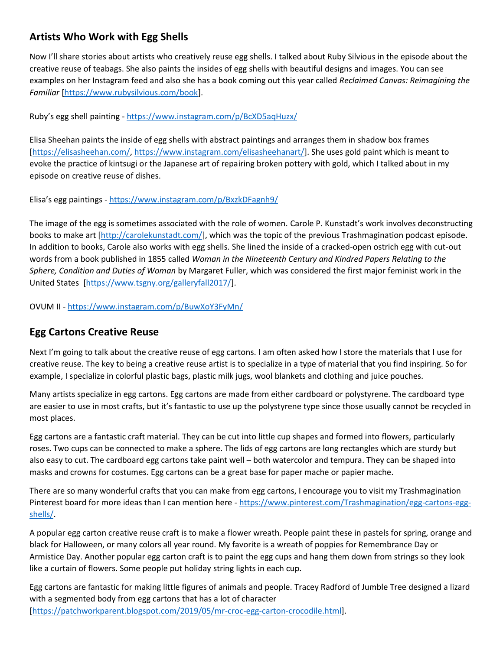# **Artists Who Work with Egg Shells**

Now I'll share stories about artists who creatively reuse egg shells. I talked about Ruby Silvious in the episode about the creative reuse of teabags. She also paints the insides of egg shells with beautiful designs and images. You can see examples on her Instagram feed and also she has a book coming out this year called *Reclaimed Canvas: Reimagining the Familiar* [https://www.rubysilvious.com/book].

Ruby's egg shell painting - https://www.instagram.com/p/BcXD5aqHuzx/

Elisa Sheehan paints the inside of egg shells with abstract paintings and arranges them in shadow box frames [https://elisasheehan.com/, https://www.instagram.com/elisasheehanart/]. She uses gold paint which is meant to evoke the practice of kintsugi or the Japanese art of repairing broken pottery with gold, which I talked about in my episode on creative reuse of dishes.

Elisa's egg paintings - https://www.instagram.com/p/BxzkDFagnh9/

The image of the egg is sometimes associated with the role of women. Carole P. Kunstadt's work involves deconstructing books to make art [http://carolekunstadt.com/], which was the topic of the previous Trashmagination podcast episode. In addition to books, Carole also works with egg shells. She lined the inside of a cracked-open ostrich egg with cut-out words from a book published in 1855 called *Woman in the Nineteenth Century and Kindred Papers Relating to the Sphere, Condition and Duties of Woman* by Margaret Fuller, which was considered the first major feminist work in the United States [https://www.tsgny.org/galleryfall2017/].

OVUM II - https://www.instagram.com/p/BuwXoY3FyMn/

### **Egg Cartons Creative Reuse**

Next I'm going to talk about the creative reuse of egg cartons. I am often asked how I store the materials that I use for creative reuse. The key to being a creative reuse artist is to specialize in a type of material that you find inspiring. So for example, I specialize in colorful plastic bags, plastic milk jugs, wool blankets and clothing and juice pouches.

Many artists specialize in egg cartons. Egg cartons are made from either cardboard or polystyrene. The cardboard type are easier to use in most crafts, but it's fantastic to use up the polystyrene type since those usually cannot be recycled in most places.

Egg cartons are a fantastic craft material. They can be cut into little cup shapes and formed into flowers, particularly roses. Two cups can be connected to make a sphere. The lids of egg cartons are long rectangles which are sturdy but also easy to cut. The cardboard egg cartons take paint well – both watercolor and tempura. They can be shaped into masks and crowns for costumes. Egg cartons can be a great base for paper mache or papier mache.

There are so many wonderful crafts that you can make from egg cartons, I encourage you to visit my Trashmagination Pinterest board for more ideas than I can mention here - https://www.pinterest.com/Trashmagination/egg-cartons-egg shells/.

A popular egg carton creative reuse craft is to make a flower wreath. People paint these in pastels for spring, orange and black for Halloween, or many colors all year round. My favorite is a wreath of poppies for Remembrance Day or Armistice Day. Another popular egg carton craft is to paint the egg cups and hang them down from strings so they look like a curtain of flowers. Some people put holiday string lights in each cup.

Egg cartons are fantastic for making little figures of animals and people. Tracey Radford of Jumble Tree designed a lizard with a segmented body from egg cartons that has a lot of character [https://patchworkparent.blogspot.com/2019/05/mr-croc-egg-carton-crocodile.html].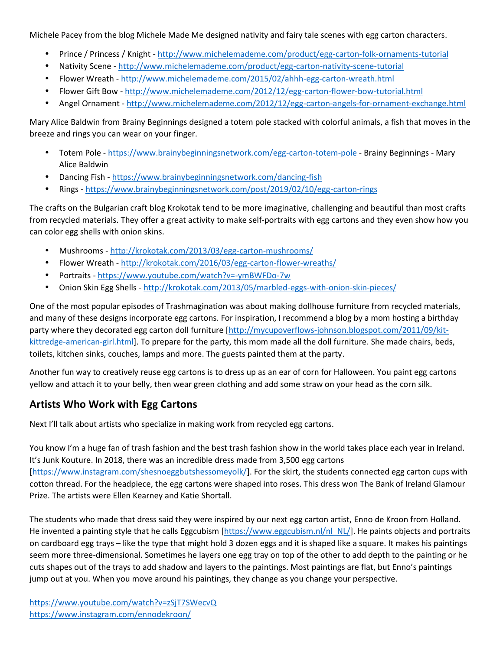Michele Pacey from the blog Michele Made Me designed nativity and fairy tale scenes with egg carton characters.

- Prince / Princess / Knight http://www.michelemademe.com/product/egg-carton-folk-ornaments-tutorial
- Nativity Scene http://www.michelemademe.com/product/egg-carton-nativity-scene-tutorial
- Flower Wreath http://www.michelemademe.com/2015/02/ahhh-egg-carton-wreath.html
- Flower Gift Bow http://www.michelemademe.com/2012/12/egg-carton-flower-bow-tutorial.html
- Angel Ornament http://www.michelemademe.com/2012/12/egg-carton-angels-for-ornament-exchange.html

Mary Alice Baldwin from Brainy Beginnings designed a totem pole stacked with colorful animals, a fish that moves in the breeze and rings you can wear on your finger.

- Totem Pole https://www.brainybeginningsnetwork.com/egg-carton-totem-pole Brainy Beginnings Mary Alice Baldwin
- Dancing Fish https://www.brainybeginningsnetwork.com/dancing-fish
- Rings https://www.brainybeginningsnetwork.com/post/2019/02/10/egg-carton-rings

The crafts on the Bulgarian craft blog Krokotak tend to be more imaginative, challenging and beautiful than most crafts from recycled materials. They offer a great activity to make self-portraits with egg cartons and they even show how you can color egg shells with onion skins.

- Mushrooms http://krokotak.com/2013/03/egg-carton-mushrooms/
- Flower Wreath http://krokotak.com/2016/03/egg-carton-flower-wreaths/
- Portraits https://www.youtube.com/watch?v=-ymBWFDo-7w
- Onion Skin Egg Shells http://krokotak.com/2013/05/marbled-eggs-with-onion-skin-pieces/

One of the most popular episodes of Trashmagination was about making dollhouse furniture from recycled materials, and many of these designs incorporate egg cartons. For inspiration, I recommend a blog by a mom hosting a birthday party where they decorated egg carton doll furniture [http://mycupoverflows-johnson.blogspot.com/2011/09/kit kittredge-american-girl.html]. To prepare for the party, this mom made all the doll furniture. She made chairs, beds, toilets, kitchen sinks, couches, lamps and more. The guests painted them at the party.

Another fun way to creatively reuse egg cartons is to dress up as an ear of corn for Halloween. You paint egg cartons yellow and attach it to your belly, then wear green clothing and add some straw on your head as the corn silk.

### **Artists Who Work with Egg Cartons**

Next I'll talk about artists who specialize in making work from recycled egg cartons.

You know I'm a huge fan of trash fashion and the best trash fashion show in the world takes place each year in Ireland. It's Junk Kouture. In 2018, there was an incredible dress made from 3,500 egg cartons [https://www.instagram.com/shesnoeggbutshessomeyolk/]. For the skirt, the students connected egg carton cups with cotton thread. For the headpiece, the egg cartons were shaped into roses. This dress won The Bank of Ireland Glamour Prize. The artists were Ellen Kearney and Katie Shortall.

The students who made that dress said they were inspired by our next egg carton artist, Enno de Kroon from Holland. He invented a painting style that he calls Eggcubism  $[https://www.eggcubism.nl/nl-NL/]$ . He paints objects and portraits on cardboard egg trays – like the type that might hold 3 dozen eggs and it is shaped like a square. It makes his paintings seem more three-dimensional. Sometimes he layers one egg tray on top of the other to add depth to the painting or he cuts shapes out of the trays to add shadow and layers to the paintings. Most paintings are flat, but Enno's paintings jump out at you. When you move around his paintings, they change as you change your perspective.